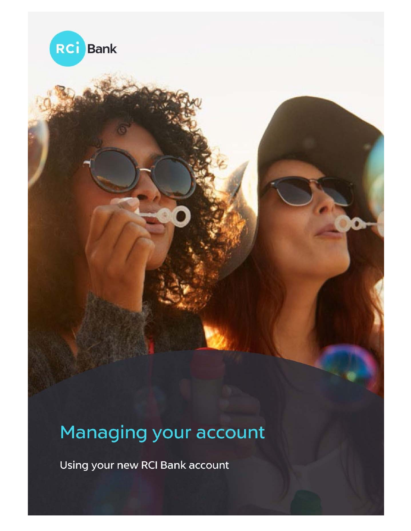

# Managing your account

Using your new RCI Bank account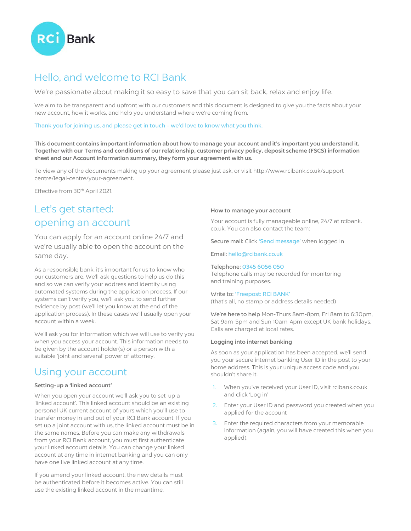

# Hello, and welcome to RCI Bank

We're passionate about making it so easy to save that you can sit back, relax and enjoy life.

We aim to be transparent and upfront with our customers and this document is designed to give you the facts about your new account, how it works, and help you understand where we're coming from.

Thank you for joining us, and please get in touch – we'd love to know what you think.

This document contains important information about how to manage your account and it's important you understand it. Together with our Terms and conditions of our relationship, customer privacy policy, deposit scheme (FSCS) information sheet and our Account information summary, they form your agreement with us.

To view any of the documents making up your agreement please just ask, or visit http://www.rcibank.co.uk/support centre/legal-centre/your-agreement.

Effective from 30th April 2021.

# Let's get started: opening an account

You can apply for an account online 24/7 and we're usually able to open the account on the same day.

As a responsible bank, it's important for us to know who our customers are. We'll ask questions to help us do this and so we can verify your address and identity using automated systems during the application process. If our systems can't verify you, we'll ask you to send further evidence by post (we'll let you know at the end of the application process). In these cases we'll usually open your account within a week.

We'll ask you for information which we will use to verify you when you access your account. This information needs to be given by the account holder(s) or a person with a suitable 'joint and several' power of attorney.

# Using your account

### Setting-up a 'linked account'

When you open your account we'll ask you to set-up a 'linked account'. This linked account should be an existing personal UK current account of yours which you'll use to transfer money in and out of your RCI Bank account. If you set up a joint account with us, the linked account must be in the same names. Before you can make any withdrawals from your RCI Bank account, you must first authenticate your linked account details. You can change your linked account at any time in internet banking and you can only have one live linked account at any time.

If you amend your linked account, the new details must be authenticated before it becomes active. You can still use the existing linked account in the meantime.

#### How to manage your account

Your account is fully manageable online, 24/7 at rcibank. co.uk. You can also contact the team:

Secure mail: Click 'Send message' when logged in

Email: hello@rcibank.co.uk

#### Telephone: 0345 6056 050

Telephone calls may be recorded for monitoring and training purposes.

Write to: 'Freepost: RCI BANK' (that's all, no stamp or address details needed)

We're here to help Mon-Thurs 8am-8pm, Fri 8am to 6:30pm, Sat 9am-5pm and Sun 10am-4pm except UK bank holidays. Calls are charged at local rates.

### Logging into internet banking

As soon as your application has been accepted, we'll send you your secure internet banking User ID in the post to your home address. This is your unique access code and you shouldn't share it.

- 1. When you've received your User ID, visit rcibank.co.uk and click 'Log in'
- Enter your User ID and password you created when you applied for the account
- 3. Enter the required characters from your memorable information (again, you will have created this when you applied).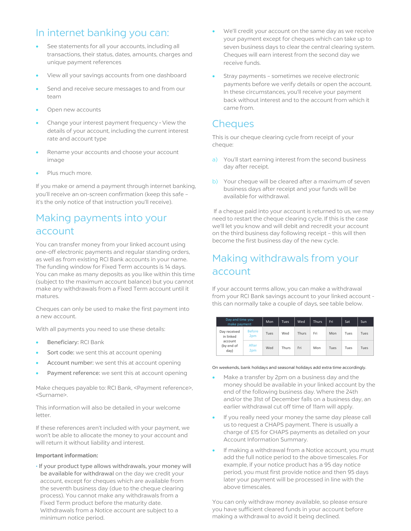# In internet banking you can:

- See statements for all your accounts, including all transactions, their status, dates, amounts, charges and unique payment references
- View all your savings accounts from one dashboard
- Send and receive secure messages to and from our team
- Open new accounts
- Change your interest payment frequency View the details of your account, including the current interest rate and account type
- Rename your accounts and choose your account image
- Plus much more.

If you make or amend a payment through internet banking, you'll receive an on-screen confirmation (keep this safe – it's the only notice of that instruction you'll receive).

# Making payments into your account

You can transfer money from your linked account using one-off electronic payments and regular standing orders, as well as from existing RCI Bank accounts in your name. The funding window for Fixed Term accounts is 14 days. You can make as many deposits as you like within this time (subject to the maximum account balance) but you cannot make any withdrawals from a Fixed Term account until it matures.

Cheques can only be used to make the first payment into a new account.

With all payments you need to use these details:

- Beneficiary: RCI Bank
- Sort code: we sent this at account opening
- Account number: we sent this at account opening
- Payment reference: we sent this at account opening

Make cheques payable to: RCI Bank, <Payment reference>, <Surname>.

This information will also be detailed in your welcome letter.

If these references aren't included with your payment, we won't be able to allocate the money to your account and will return it without liability and interest.

#### Important information:

• If your product type allows withdrawals, your money will be available for withdrawal on the day we credit your account, except for cheques which are available from the seventh business day (due to the cheque clearing process). You cannot make any withdrawals from a Fixed Term product before the maturity date. Withdrawals from a Notice account are subject to a minimum notice period.

- We'll credit your account on the same day as we receive your payment except for cheques which can take up to seven business days to clear the central clearing system. Cheques will earn interest from the second day we receive funds.
- Stray payments sometimes we receive electronic payments before we verify details or open the account. In these circumstances, you'll receive your payment back without interest and to the account from which it came from.

### **Cheques**

This is our cheque clearing cycle from receipt of your cheque:

- a) You'll start earning interest from the second business day after receipt.
- b) Your cheque will be cleared after a maximum of seven business days after receipt and your funds will be available for withdrawal.

 If a cheque paid into your account is returned to us, we may need to restart the cheque clearing cycle. If this is the case we'll let you know and will debit and recredit your account on the third business day following receipt – this will then become the first business day of the new cycle.

# Making withdrawals from your account

If your account terms allow, you can make a withdrawal from your RCI Bank savings account to your linked account this can normally take a couple of days, see table below.

| Day and time you<br>make payment                           |                      | Mon  | Tues  | Wed   | <b>Thurs</b> | Fri  | Sat  | Sun  |
|------------------------------------------------------------|----------------------|------|-------|-------|--------------|------|------|------|
| Day received<br>in linked<br>account<br>(by end of<br>day) | <b>Before</b><br>2pm | Tues | Wed   | Thurs | Fri          | Mon  | Tues | Tues |
|                                                            | After<br>2pm         | Wed  | Thurs | Fri   | Mon          | Tues | Tues | Tues |

On weekends, bank holidays and seasonal holidays add extra time accordingly.

- Make a transfer by 2pm on a business day and the money should be available in your linked account by the end of the following business day. Where the 24th and/or the 31st of December falls on a business day, an earlier withdrawal cut off time of 11am will apply.
- If you really need your money the same day please call us to request a CHAPS payment. There is usually a charge of £15 for CHAPS payments as detailed on your Account Information Summary.
- If making a withdrawal from a Notice account, you must add the full notice period to the above timescales. For example, if your notice product has a 95 day notice period, you must first provide notice and then 95 days later your payment will be processed in line with the above timescales.

You can only withdraw money available, so please ensure you have sufficient cleared funds in your account before making a withdrawal to avoid it being declined.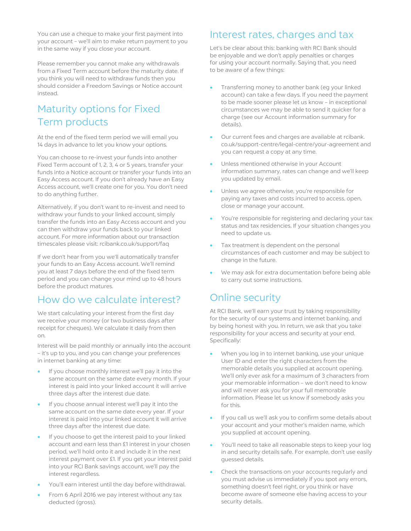You can use a cheque to make your first payment into your account – we'll aim to make return payment to you in the same way if you close your account.

Please remember you cannot make any withdrawals from a Fixed Term account before the maturity date. If you think you will need to withdraw funds then you should consider a Freedom Savings or Notice account instead.

# Maturity options for Fixed Term products

At the end of the fixed term period we will email you 14 days in advance to let you know your options.

You can choose to re-invest your funds into another Fixed Term account of 1, 2, 3, 4 or 5 years, transfer your funds into a Notice account or transfer your funds into an Easy Access account. If you don't already have an Easy Access account, we'll create one for you. You don't need to do anything further.

Alternatively, if you don't want to re-invest and need to withdraw your funds to your linked account, simply transfer the funds into an Easy Access account and you can then withdraw your funds back to your linked account. For more information about our transaction timescales please visit: rcibank.co.uk/support/faq

If we don't hear from you we'll automatically transfer your funds to an Easy Access account. We'll remind you at least 7 days before the end of the fixed term period and you can change your mind up to 48 hours before the product matures.

### How do we calculate interest?

We start calculating your interest from the first day we receive your money (or two business days after receipt for cheques). We calculate it daily from then on.

Interest will be paid monthly or annually into the account – it's up to you, and you can change your preferences in internet banking at any time:

- If you choose monthly interest we'll pay it into the same account on the same date every month. If your interest is paid into your linked account it will arrive three days after the interest due date.
- If you choose annual interest we'll pay it into the same account on the same date every year. If your interest is paid into your linked account it will arrive three days after the interest due date.
- If you choose to get the interest paid to your linked account and earn less than £1 interest in your chosen period, we'll hold onto it and include it in the next interest payment over £1. If you get your interest paid into your RCI Bank savings account, we'll pay the interest regardless.
- You'll earn interest until the day before withdrawal.
- From 6 April 2016 we pay interest without any tax deducted (gross).

### Interest rates, charges and tax

Let's be clear about this: banking with RCI Bank should be enjoyable and we don't apply penalties or charges for using your account normally. Saying that, you need to be aware of a few things:

- Transferring money to another bank (eg your linked account) can take a few days. If you need the payment to be made sooner please let us know – in exceptional circumstances we may be able to send it quicker for a charge (see our Account information summary for details).
- Our current fees and charges are available at rcibank. co.uk/support-centre/legal-centre/your-agreement and you can request a copy at any time.
- Unless mentioned otherwise in your Account information summary, rates can change and we'll keep you updated by email.
- Unless we agree otherwise, you're responsible for paying any taxes and costs incurred to access, open, close or manage your account.
- You're responsible for registering and declaring your tax status and tax residencies. If your situation changes you need to update us.
- Tax treatment is dependent on the personal circumstances of each customer and may be subject to change in the future.
- We may ask for extra documentation before being able to carry out some instructions.

### Online security

At RCI Bank, we'll earn your trust by taking responsibility for the security of our systems and internet banking, and by being honest with you. In return, we ask that you take responsibility for your access and security at your end. Specifically:

- When you log in to internet banking, use your unique User ID and enter the right characters from the memorable details you supplied at account opening. We'll only ever ask for a maximum of 3 characters from your memorable information – we don't need to know and will never ask you for your full memorable information. Please let us know if somebody asks you for this.
- If you call us we'll ask you to confirm some details about your account and your mother's maiden name, which you supplied at account opening.
- You'll need to take all reasonable steps to keep your log in and security details safe. For example, don't use easily guessed details.
- Check the transactions on your accounts regularly and you must advise us immediately if you spot any errors, something doesn't feel right, or you think or have become aware of someone else having access to your security details.